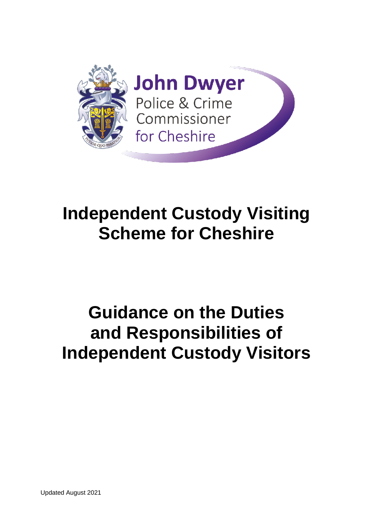

# **Independent Custody Visiting Scheme for Cheshire**

# **Guidance on the Duties and Responsibilities of Independent Custody Visitors**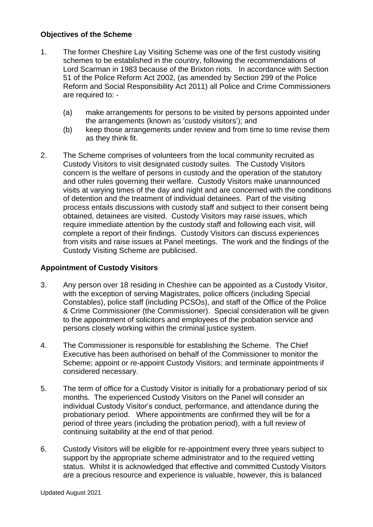### **Objectives of the Scheme**

- 1. The former Cheshire Lay Visiting Scheme was one of the first custody visiting schemes to be established in the country, following the recommendations of Lord Scarman in 1983 because of the Brixton riots. In accordance with Section 51 of the Police Reform Act 2002, (as amended by Section 299 of the Police Reform and Social Responsibility Act 2011) all Police and Crime Commissioners are required to: -
	- (a) make arrangements for persons to be visited by persons appointed under the arrangements (known as 'custody visitors'); and
	- (b) keep those arrangements under review and from time to time revise them as they think fit.
- 2. The Scheme comprises of volunteers from the local community recruited as Custody Visitors to visit designated custody suites. The Custody Visitors concern is the welfare of persons in custody and the operation of the statutory and other rules governing their welfare. Custody Visitors make unannounced visits at varying times of the day and night and are concerned with the conditions of detention and the treatment of individual detainees. Part of the visiting process entails discussions with custody staff and subject to their consent being obtained, detainees are visited. Custody Visitors may raise issues, which require immediate attention by the custody staff and following each visit, will complete a report of their findings. Custody Visitors can discuss experiences from visits and raise issues at Panel meetings. The work and the findings of the Custody Visiting Scheme are publicised.

### **Appointment of Custody Visitors**

- 3. Any person over 18 residing in Cheshire can be appointed as a Custody Visitor, with the exception of serving Magistrates, police officers (including Special Constables), police staff (including PCSOs), and staff of the Office of the Police & Crime Commissioner (the Commissioner). Special consideration will be given to the appointment of solicitors and employees of the probation service and persons closely working within the criminal justice system.
- 4. The Commissioner is responsible for establishing the Scheme. The Chief Executive has been authorised on behalf of the Commissioner to monitor the Scheme; appoint or re-appoint Custody Visitors; and terminate appointments if considered necessary.
- 5. The term of office for a Custody Visitor is initially for a probationary period of six months. The experienced Custody Visitors on the Panel will consider an individual Custody Visitor's conduct, performance, and attendance during the probationary period. Where appointments are confirmed they will be for a period of three years (including the probation period), with a full review of continuing suitability at the end of that period.
- 6. Custody Visitors will be eligible for re-appointment every three years subject to support by the appropriate scheme administrator and to the required vetting status. Whilst it is acknowledged that effective and committed Custody Visitors are a precious resource and experience is valuable, however, this is balanced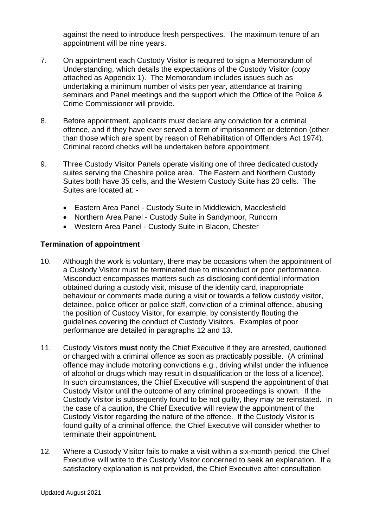against the need to introduce fresh perspectives. The maximum tenure of an appointment will be nine years.

- 7. On appointment each Custody Visitor is required to sign a Memorandum of Understanding, which details the expectations of the Custody Visitor (copy attached as Appendix 1). The Memorandum includes issues such as undertaking a minimum number of visits per year, attendance at training seminars and Panel meetings and the support which the Office of the Police & Crime Commissioner will provide.
- 8. Before appointment, applicants must declare any conviction for a criminal offence, and if they have ever served a term of imprisonment or detention (other than those which are spent by reason of Rehabilitation of Offenders Act 1974). Criminal record checks will be undertaken before appointment.
- 9. Three Custody Visitor Panels operate visiting one of three dedicated custody suites serving the Cheshire police area. The Eastern and Northern Custody Suites both have 35 cells, and the Western Custody Suite has 20 cells. The Suites are located at: -
	- Eastern Area Panel Custody Suite in Middlewich, Macclesfield
	- Northern Area Panel Custody Suite in Sandymoor, Runcorn
	- Western Area Panel Custody Suite in Blacon, Chester

### **Termination of appointment**

- 10. Although the work is voluntary, there may be occasions when the appointment of a Custody Visitor must be terminated due to misconduct or poor performance. Misconduct encompasses matters such as disclosing confidential information obtained during a custody visit, misuse of the identity card, inappropriate behaviour or comments made during a visit or towards a fellow custody visitor, detainee, police officer or police staff, conviction of a criminal offence, abusing the position of Custody Visitor, for example, by consistently flouting the guidelines covering the conduct of Custody Visitors. Examples of poor performance are detailed in paragraphs 12 and 13.
- 11. Custody Visitors **must** notify the Chief Executive if they are arrested, cautioned, or charged with a criminal offence as soon as practicably possible. (A criminal offence may include motoring convictions e.g., driving whilst under the influence of alcohol or drugs which may result in disqualification or the loss of a licence). In such circumstances, the Chief Executive will suspend the appointment of that Custody Visitor until the outcome of any criminal proceedings is known. If the Custody Visitor is subsequently found to be not guilty, they may be reinstated. In the case of a caution, the Chief Executive will review the appointment of the Custody Visitor regarding the nature of the offence. If the Custody Visitor is found guilty of a criminal offence, the Chief Executive will consider whether to terminate their appointment.
- 12. Where a Custody Visitor fails to make a visit within a six-month period, the Chief Executive will write to the Custody Visitor concerned to seek an explanation. If a satisfactory explanation is not provided, the Chief Executive after consultation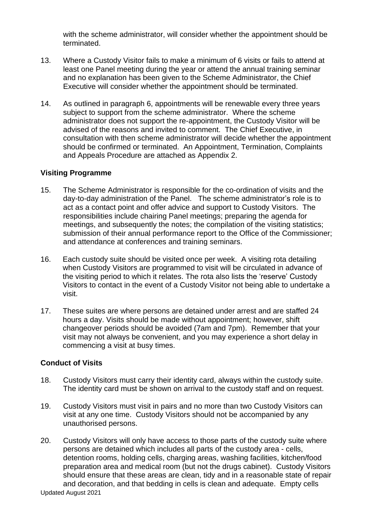with the scheme administrator, will consider whether the appointment should be terminated.

- 13. Where a Custody Visitor fails to make a minimum of 6 visits or fails to attend at least one Panel meeting during the year or attend the annual training seminar and no explanation has been given to the Scheme Administrator, the Chief Executive will consider whether the appointment should be terminated.
- 14. As outlined in paragraph 6, appointments will be renewable every three years subject to support from the scheme administrator. Where the scheme administrator does not support the re-appointment, the Custody Visitor will be advised of the reasons and invited to comment. The Chief Executive, in consultation with then scheme administrator will decide whether the appointment should be confirmed or terminated. An Appointment, Termination, Complaints and Appeals Procedure are attached as Appendix 2.

### **Visiting Programme**

- 15. The Scheme Administrator is responsible for the co-ordination of visits and the day-to-day administration of the Panel. The scheme administrator's role is to act as a contact point and offer advice and support to Custody Visitors. The responsibilities include chairing Panel meetings; preparing the agenda for meetings, and subsequently the notes; the compilation of the visiting statistics; submission of their annual performance report to the Office of the Commissioner; and attendance at conferences and training seminars.
- 16. Each custody suite should be visited once per week. A visiting rota detailing when Custody Visitors are programmed to visit will be circulated in advance of the visiting period to which it relates. The rota also lists the 'reserve' Custody Visitors to contact in the event of a Custody Visitor not being able to undertake a visit.
- 17. These suites are where persons are detained under arrest and are staffed 24 hours a day. Visits should be made without appointment; however, shift changeover periods should be avoided (7am and 7pm). Remember that your visit may not always be convenient, and you may experience a short delay in commencing a visit at busy times.

### **Conduct of Visits**

- 18. Custody Visitors must carry their identity card, always within the custody suite. The identity card must be shown on arrival to the custody staff and on request.
- 19. Custody Visitors must visit in pairs and no more than two Custody Visitors can visit at any one time. Custody Visitors should not be accompanied by any unauthorised persons.
- 20. Custody Visitors will only have access to those parts of the custody suite where persons are detained which includes all parts of the custody area - cells, detention rooms, holding cells, charging areas, washing facilities, kitchen/food preparation area and medical room (but not the drugs cabinet). Custody Visitors should ensure that these areas are clean, tidy and in a reasonable state of repair and decoration, and that bedding in cells is clean and adequate. Empty cells

Updated August 2021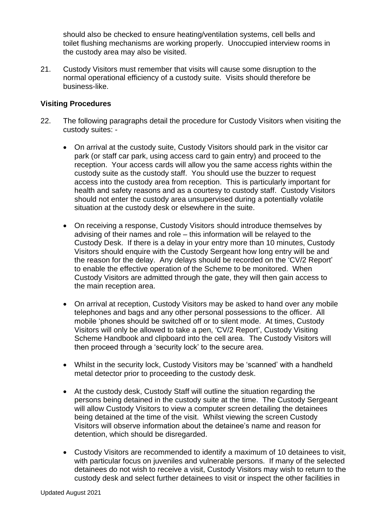should also be checked to ensure heating/ventilation systems, cell bells and toilet flushing mechanisms are working properly. Unoccupied interview rooms in the custody area may also be visited.

21. Custody Visitors must remember that visits will cause some disruption to the normal operational efficiency of a custody suite. Visits should therefore be business-like.

### **Visiting Procedures**

- 22. The following paragraphs detail the procedure for Custody Visitors when visiting the custody suites: -
	- On arrival at the custody suite, Custody Visitors should park in the visitor car park (or staff car park, using access card to gain entry) and proceed to the reception. Your access cards will allow you the same access rights within the custody suite as the custody staff. You should use the buzzer to request access into the custody area from reception. This is particularly important for health and safety reasons and as a courtesy to custody staff. Custody Visitors should not enter the custody area unsupervised during a potentially volatile situation at the custody desk or elsewhere in the suite.
	- On receiving a response, Custody Visitors should introduce themselves by advising of their names and role – this information will be relayed to the Custody Desk. If there is a delay in your entry more than 10 minutes, Custody Visitors should enquire with the Custody Sergeant how long entry will be and the reason for the delay. Any delays should be recorded on the 'CV/2 Report' to enable the effective operation of the Scheme to be monitored. When Custody Visitors are admitted through the gate, they will then gain access to the main reception area.
	- On arrival at reception, Custody Visitors may be asked to hand over any mobile telephones and bags and any other personal possessions to the officer. All mobile 'phones should be switched off or to silent mode. At times, Custody Visitors will only be allowed to take a pen, 'CV/2 Report', Custody Visiting Scheme Handbook and clipboard into the cell area. The Custody Visitors will then proceed through a 'security lock' to the secure area.
	- Whilst in the security lock, Custody Visitors may be 'scanned' with a handheld metal detector prior to proceeding to the custody desk.
	- At the custody desk, Custody Staff will outline the situation regarding the persons being detained in the custody suite at the time. The Custody Sergeant will allow Custody Visitors to view a computer screen detailing the detainees being detained at the time of the visit. Whilst viewing the screen Custody Visitors will observe information about the detainee's name and reason for detention, which should be disregarded.
	- Custody Visitors are recommended to identify a maximum of 10 detainees to visit, with particular focus on juveniles and vulnerable persons. If many of the selected detainees do not wish to receive a visit, Custody Visitors may wish to return to the custody desk and select further detainees to visit or inspect the other facilities in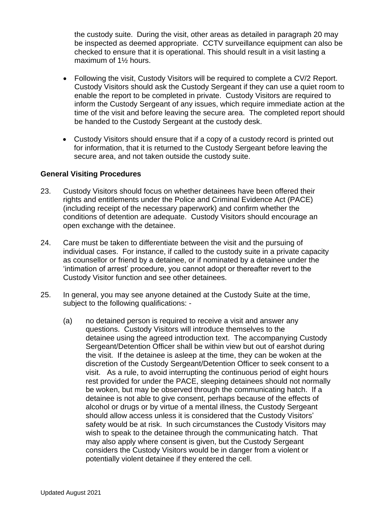the custody suite. During the visit, other areas as detailed in paragraph 20 may be inspected as deemed appropriate. CCTV surveillance equipment can also be checked to ensure that it is operational. This should result in a visit lasting a maximum of 1½ hours.

- Following the visit, Custody Visitors will be required to complete a CV/2 Report. Custody Visitors should ask the Custody Sergeant if they can use a quiet room to enable the report to be completed in private. Custody Visitors are required to inform the Custody Sergeant of any issues, which require immediate action at the time of the visit and before leaving the secure area. The completed report should be handed to the Custody Sergeant at the custody desk.
- Custody Visitors should ensure that if a copy of a custody record is printed out for information, that it is returned to the Custody Sergeant before leaving the secure area, and not taken outside the custody suite.

### **General Visiting Procedures**

- 23. Custody Visitors should focus on whether detainees have been offered their rights and entitlements under the Police and Criminal Evidence Act (PACE) (including receipt of the necessary paperwork) and confirm whether the conditions of detention are adequate. Custody Visitors should encourage an open exchange with the detainee.
- 24. Care must be taken to differentiate between the visit and the pursuing of individual cases. For instance, if called to the custody suite in a private capacity as counsellor or friend by a detainee, or if nominated by a detainee under the 'intimation of arrest' procedure, you cannot adopt or thereafter revert to the Custody Visitor function and see other detainees.
- 25. In general, you may see anyone detained at the Custody Suite at the time, subject to the following qualifications: -
	- (a) no detained person is required to receive a visit and answer any questions. Custody Visitors will introduce themselves to the detainee using the agreed introduction text. The accompanying Custody Sergeant/Detention Officer shall be within view but out of earshot during the visit. If the detainee is asleep at the time, they can be woken at the discretion of the Custody Sergeant/Detention Officer to seek consent to a visit. As a rule, to avoid interrupting the continuous period of eight hours rest provided for under the PACE, sleeping detainees should not normally be woken, but may be observed through the communicating hatch. If a detainee is not able to give consent, perhaps because of the effects of alcohol or drugs or by virtue of a mental illness, the Custody Sergeant should allow access unless it is considered that the Custody Visitors' safety would be at risk. In such circumstances the Custody Visitors may wish to speak to the detainee through the communicating hatch. That may also apply where consent is given, but the Custody Sergeant considers the Custody Visitors would be in danger from a violent or potentially violent detainee if they entered the cell.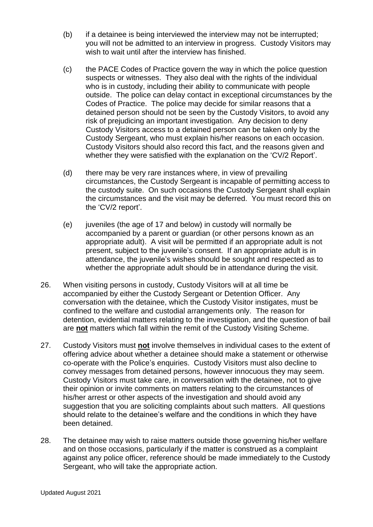- (b) if a detainee is being interviewed the interview may not be interrupted; you will not be admitted to an interview in progress. Custody Visitors may wish to wait until after the interview has finished.
- (c) the PACE Codes of Practice govern the way in which the police question suspects or witnesses. They also deal with the rights of the individual who is in custody, including their ability to communicate with people outside. The police can delay contact in exceptional circumstances by the Codes of Practice. The police may decide for similar reasons that a detained person should not be seen by the Custody Visitors, to avoid any risk of prejudicing an important investigation. Any decision to deny Custody Visitors access to a detained person can be taken only by the Custody Sergeant, who must explain his/her reasons on each occasion. Custody Visitors should also record this fact, and the reasons given and whether they were satisfied with the explanation on the 'CV/2 Report'.
- (d) there may be very rare instances where, in view of prevailing circumstances, the Custody Sergeant is incapable of permitting access to the custody suite. On such occasions the Custody Sergeant shall explain the circumstances and the visit may be deferred. You must record this on the 'CV/2 report'.
- (e) juveniles (the age of 17 and below) in custody will normally be accompanied by a parent or guardian (or other persons known as an appropriate adult). A visit will be permitted if an appropriate adult is not present, subject to the juvenile's consent. If an appropriate adult is in attendance, the juvenile's wishes should be sought and respected as to whether the appropriate adult should be in attendance during the visit.
- 26. When visiting persons in custody, Custody Visitors will at all time be accompanied by either the Custody Sergeant or Detention Officer. Any conversation with the detainee, which the Custody Visitor instigates, must be confined to the welfare and custodial arrangements only. The reason for detention, evidential matters relating to the investigation, and the question of bail are **not** matters which fall within the remit of the Custody Visiting Scheme.
- 27. Custody Visitors must **not** involve themselves in individual cases to the extent of offering advice about whether a detainee should make a statement or otherwise co-operate with the Police's enquiries. Custody Visitors must also decline to convey messages from detained persons, however innocuous they may seem. Custody Visitors must take care, in conversation with the detainee, not to give their opinion or invite comments on matters relating to the circumstances of his/her arrest or other aspects of the investigation and should avoid any suggestion that you are soliciting complaints about such matters. All questions should relate to the detainee's welfare and the conditions in which they have been detained.
- 28. The detainee may wish to raise matters outside those governing his/her welfare and on those occasions, particularly if the matter is construed as a complaint against any police officer, reference should be made immediately to the Custody Sergeant, who will take the appropriate action.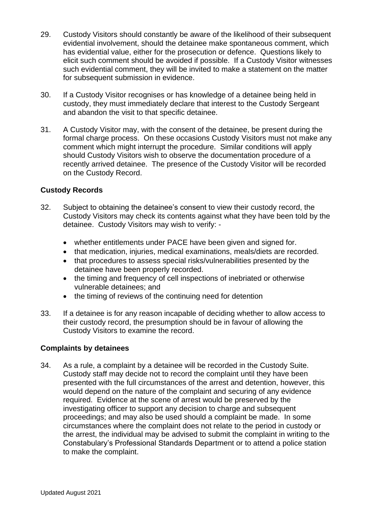- 29. Custody Visitors should constantly be aware of the likelihood of their subsequent evidential involvement, should the detainee make spontaneous comment, which has evidential value, either for the prosecution or defence. Questions likely to elicit such comment should be avoided if possible. If a Custody Visitor witnesses such evidential comment, they will be invited to make a statement on the matter for subsequent submission in evidence.
- 30. If a Custody Visitor recognises or has knowledge of a detainee being held in custody, they must immediately declare that interest to the Custody Sergeant and abandon the visit to that specific detainee.
- 31. A Custody Visitor may, with the consent of the detainee, be present during the formal charge process. On these occasions Custody Visitors must not make any comment which might interrupt the procedure. Similar conditions will apply should Custody Visitors wish to observe the documentation procedure of a recently arrived detainee. The presence of the Custody Visitor will be recorded on the Custody Record.

### **Custody Records**

- 32. Subject to obtaining the detainee's consent to view their custody record, the Custody Visitors may check its contents against what they have been told by the detainee. Custody Visitors may wish to verify: -
	- whether entitlements under PACE have been given and signed for.
	- that medication, injuries, medical examinations, meals/diets are recorded.
	- that procedures to assess special risks/vulnerabilities presented by the detainee have been properly recorded.
	- the timing and frequency of cell inspections of inebriated or otherwise vulnerable detainees; and
	- the timing of reviews of the continuing need for detention
- 33. If a detainee is for any reason incapable of deciding whether to allow access to their custody record, the presumption should be in favour of allowing the Custody Visitors to examine the record.

#### **Complaints by detainees**

34. As a rule, a complaint by a detainee will be recorded in the Custody Suite. Custody staff may decide not to record the complaint until they have been presented with the full circumstances of the arrest and detention, however, this would depend on the nature of the complaint and securing of any evidence required. Evidence at the scene of arrest would be preserved by the investigating officer to support any decision to charge and subsequent proceedings; and may also be used should a complaint be made. In some circumstances where the complaint does not relate to the period in custody or the arrest, the individual may be advised to submit the complaint in writing to the Constabulary's Professional Standards Department or to attend a police station to make the complaint.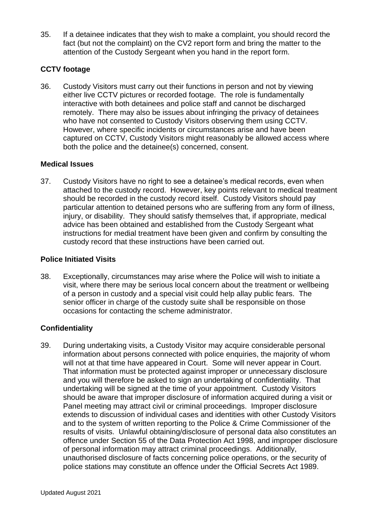35. If a detainee indicates that they wish to make a complaint, you should record the fact (but not the complaint) on the CV2 report form and bring the matter to the attention of the Custody Sergeant when you hand in the report form.

### **CCTV footage**

36. Custody Visitors must carry out their functions in person and not by viewing either live CCTV pictures or recorded footage. The role is fundamentally interactive with both detainees and police staff and cannot be discharged remotely. There may also be issues about infringing the privacy of detainees who have not consented to Custody Visitors observing them using CCTV. However, where specific incidents or circumstances arise and have been captured on CCTV, Custody Visitors might reasonably be allowed access where both the police and the detainee(s) concerned, consent.

### **Medical Issues**

37. Custody Visitors have no right to see a detainee's medical records, even when attached to the custody record. However, key points relevant to medical treatment should be recorded in the custody record itself. Custody Visitors should pay particular attention to detained persons who are suffering from any form of illness, injury, or disability. They should satisfy themselves that, if appropriate, medical advice has been obtained and established from the Custody Sergeant what instructions for medial treatment have been given and confirm by consulting the custody record that these instructions have been carried out.

### **Police Initiated Visits**

38. Exceptionally, circumstances may arise where the Police will wish to initiate a visit, where there may be serious local concern about the treatment or wellbeing of a person in custody and a special visit could help allay public fears. The senior officer in charge of the custody suite shall be responsible on those occasions for contacting the scheme administrator.

### **Confidentiality**

39. During undertaking visits, a Custody Visitor may acquire considerable personal information about persons connected with police enquiries, the majority of whom will not at that time have appeared in Court. Some will never appear in Court. That information must be protected against improper or unnecessary disclosure and you will therefore be asked to sign an undertaking of confidentiality. That undertaking will be signed at the time of your appointment. Custody Visitors should be aware that improper disclosure of information acquired during a visit or Panel meeting may attract civil or criminal proceedings. Improper disclosure extends to discussion of individual cases and identities with other Custody Visitors and to the system of written reporting to the Police & Crime Commissioner of the results of visits. Unlawful obtaining/disclosure of personal data also constitutes an offence under Section 55 of the Data Protection Act 1998, and improper disclosure of personal information may attract criminal proceedings. Additionally, unauthorised disclosure of facts concerning police operations, or the security of police stations may constitute an offence under the Official Secrets Act 1989.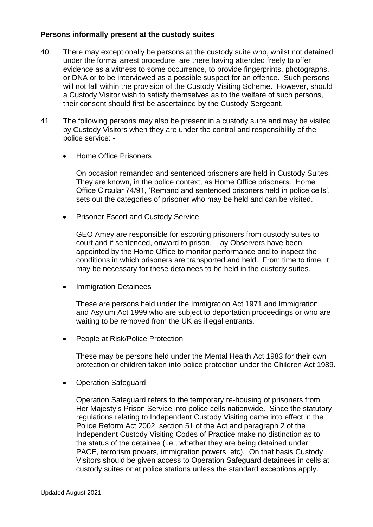### **Persons informally present at the custody suites**

- 40. There may exceptionally be persons at the custody suite who, whilst not detained under the formal arrest procedure, are there having attended freely to offer evidence as a witness to some occurrence, to provide fingerprints, photographs, or DNA or to be interviewed as a possible suspect for an offence. Such persons will not fall within the provision of the Custody Visiting Scheme. However, should a Custody Visitor wish to satisfy themselves as to the welfare of such persons, their consent should first be ascertained by the Custody Sergeant.
- 41. The following persons may also be present in a custody suite and may be visited by Custody Visitors when they are under the control and responsibility of the police service: -
	- Home Office Prisoners

On occasion remanded and sentenced prisoners are held in Custody Suites. They are known, in the police context, as Home Office prisoners. Home Office Circular 74/91, 'Remand and sentenced prisoners held in police cells', sets out the categories of prisoner who may be held and can be visited.

• Prisoner Escort and Custody Service

GEO Amey are responsible for escorting prisoners from custody suites to court and if sentenced, onward to prison. Lay Observers have been appointed by the Home Office to monitor performance and to inspect the conditions in which prisoners are transported and held. From time to time, it may be necessary for these detainees to be held in the custody suites.

• Immigration Detainees

These are persons held under the Immigration Act 1971 and Immigration and Asylum Act 1999 who are subject to deportation proceedings or who are waiting to be removed from the UK as illegal entrants.

People at Risk/Police Protection

These may be persons held under the Mental Health Act 1983 for their own protection or children taken into police protection under the Children Act 1989.

• Operation Safeguard

Operation Safeguard refers to the temporary re-housing of prisoners from Her Majesty's Prison Service into police cells nationwide. Since the statutory regulations relating to Independent Custody Visiting came into effect in the Police Reform Act 2002, section 51 of the Act and paragraph 2 of the Independent Custody Visiting Codes of Practice make no distinction as to the status of the detainee (i.e., whether they are being detained under PACE, terrorism powers, immigration powers, etc). On that basis Custody Visitors should be given access to Operation Safeguard detainees in cells at custody suites or at police stations unless the standard exceptions apply.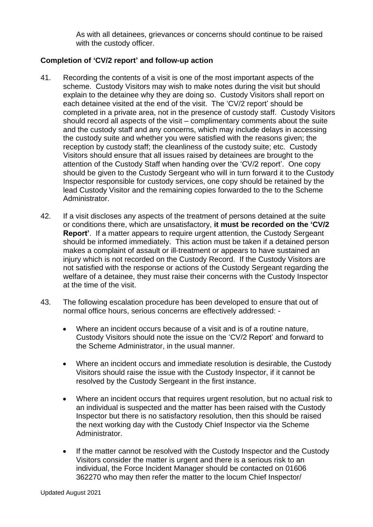As with all detainees, grievances or concerns should continue to be raised with the custody officer.

### **Completion of 'CV/2 report' and follow-up action**

- 41. Recording the contents of a visit is one of the most important aspects of the scheme. Custody Visitors may wish to make notes during the visit but should explain to the detainee why they are doing so. Custody Visitors shall report on each detainee visited at the end of the visit. The 'CV/2 report' should be completed in a private area, not in the presence of custody staff. Custody Visitors should record all aspects of the visit – complimentary comments about the suite and the custody staff and any concerns, which may include delays in accessing the custody suite and whether you were satisfied with the reasons given; the reception by custody staff; the cleanliness of the custody suite; etc. Custody Visitors should ensure that all issues raised by detainees are brought to the attention of the Custody Staff when handing over the 'CV/2 report'. One copy should be given to the Custody Sergeant who will in turn forward it to the Custody Inspector responsible for custody services, one copy should be retained by the lead Custody Visitor and the remaining copies forwarded to the to the Scheme Administrator.
- 42. If a visit discloses any aspects of the treatment of persons detained at the suite or conditions there, which are unsatisfactory, **it must be recorded on the 'CV/2 Report'**. If a matter appears to require urgent attention, the Custody Sergeant should be informed immediately. This action must be taken if a detained person makes a complaint of assault or ill-treatment or appears to have sustained an injury which is not recorded on the Custody Record. If the Custody Visitors are not satisfied with the response or actions of the Custody Sergeant regarding the welfare of a detainee, they must raise their concerns with the Custody Inspector at the time of the visit.
- 43. The following escalation procedure has been developed to ensure that out of normal office hours, serious concerns are effectively addressed: -
	- Where an incident occurs because of a visit and is of a routine nature, Custody Visitors should note the issue on the 'CV/2 Report' and forward to the Scheme Administrator, in the usual manner.
	- Where an incident occurs and immediate resolution is desirable, the Custody Visitors should raise the issue with the Custody Inspector, if it cannot be resolved by the Custody Sergeant in the first instance.
	- Where an incident occurs that requires urgent resolution, but no actual risk to an individual is suspected and the matter has been raised with the Custody Inspector but there is no satisfactory resolution, then this should be raised the next working day with the Custody Chief Inspector via the Scheme Administrator.
	- If the matter cannot be resolved with the Custody Inspector and the Custody Visitors consider the matter is urgent and there is a serious risk to an individual, the Force Incident Manager should be contacted on 01606 362270 who may then refer the matter to the locum Chief Inspector/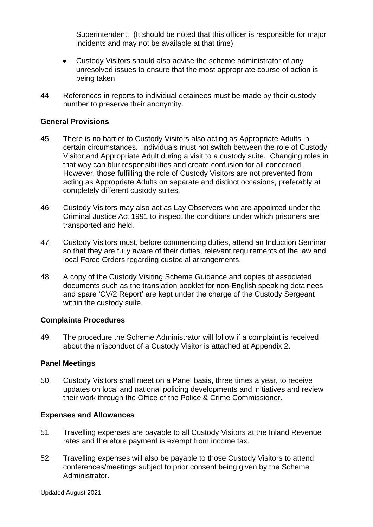Superintendent. (It should be noted that this officer is responsible for major incidents and may not be available at that time).

- Custody Visitors should also advise the scheme administrator of any unresolved issues to ensure that the most appropriate course of action is being taken.
- 44. References in reports to individual detainees must be made by their custody number to preserve their anonymity.

### **General Provisions**

- 45. There is no barrier to Custody Visitors also acting as Appropriate Adults in certain circumstances. Individuals must not switch between the role of Custody Visitor and Appropriate Adult during a visit to a custody suite. Changing roles in that way can blur responsibilities and create confusion for all concerned. However, those fulfilling the role of Custody Visitors are not prevented from acting as Appropriate Adults on separate and distinct occasions, preferably at completely different custody suites.
- 46. Custody Visitors may also act as Lay Observers who are appointed under the Criminal Justice Act 1991 to inspect the conditions under which prisoners are transported and held.
- 47. Custody Visitors must, before commencing duties, attend an Induction Seminar so that they are fully aware of their duties, relevant requirements of the law and local Force Orders regarding custodial arrangements.
- 48. A copy of the Custody Visiting Scheme Guidance and copies of associated documents such as the translation booklet for non-English speaking detainees and spare 'CV/2 Report' are kept under the charge of the Custody Sergeant within the custody suite.

### **Complaints Procedures**

49. The procedure the Scheme Administrator will follow if a complaint is received about the misconduct of a Custody Visitor is attached at Appendix 2.

### **Panel Meetings**

50. Custody Visitors shall meet on a Panel basis, three times a year, to receive updates on local and national policing developments and initiatives and review their work through the Office of the Police & Crime Commissioner.

### **Expenses and Allowances**

- 51. Travelling expenses are payable to all Custody Visitors at the Inland Revenue rates and therefore payment is exempt from income tax.
- 52. Travelling expenses will also be payable to those Custody Visitors to attend conferences/meetings subject to prior consent being given by the Scheme Administrator.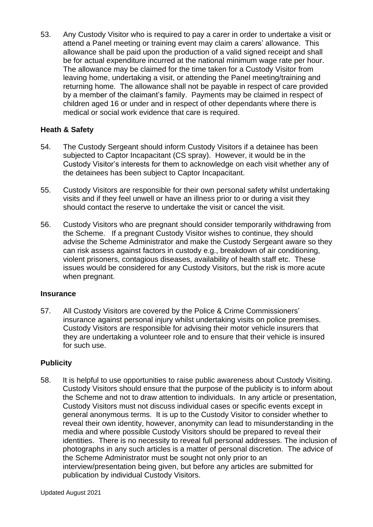53. Any Custody Visitor who is required to pay a carer in order to undertake a visit or attend a Panel meeting or training event may claim a carers' allowance. This allowance shall be paid upon the production of a valid signed receipt and shall be for actual expenditure incurred at the national minimum wage rate per hour. The allowance may be claimed for the time taken for a Custody Visitor from leaving home, undertaking a visit, or attending the Panel meeting/training and returning home. The allowance shall not be payable in respect of care provided by a member of the claimant's family. Payments may be claimed in respect of children aged 16 or under and in respect of other dependants where there is medical or social work evidence that care is required.

### **Heath & Safety**

- 54. The Custody Sergeant should inform Custody Visitors if a detainee has been subjected to Captor Incapacitant (CS spray). However, it would be in the Custody Visitor's interests for them to acknowledge on each visit whether any of the detainees has been subject to Captor Incapacitant.
- 55. Custody Visitors are responsible for their own personal safety whilst undertaking visits and if they feel unwell or have an illness prior to or during a visit they should contact the reserve to undertake the visit or cancel the visit.
- 56. Custody Visitors who are pregnant should consider temporarily withdrawing from the Scheme. If a pregnant Custody Visitor wishes to continue, they should advise the Scheme Administrator and make the Custody Sergeant aware so they can risk assess against factors in custody e.g., breakdown of air conditioning, violent prisoners, contagious diseases, availability of health staff etc. These issues would be considered for any Custody Visitors, but the risk is more acute when pregnant.

### **Insurance**

57. All Custody Visitors are covered by the Police & Crime Commissioners' insurance against personal injury whilst undertaking visits on police premises. Custody Visitors are responsible for advising their motor vehicle insurers that they are undertaking a volunteer role and to ensure that their vehicle is insured for such use.

### **Publicity**

58. It is helpful to use opportunities to raise public awareness about Custody Visiting. Custody Visitors should ensure that the purpose of the publicity is to inform about the Scheme and not to draw attention to individuals. In any article or presentation, Custody Visitors must not discuss individual cases or specific events except in general anonymous terms. It is up to the Custody Visitor to consider whether to reveal their own identity, however, anonymity can lead to misunderstanding in the media and where possible Custody Visitors should be prepared to reveal their identities. There is no necessity to reveal full personal addresses. The inclusion of photographs in any such articles is a matter of personal discretion. The advice of the Scheme Administrator must be sought not only prior to an interview/presentation being given, but before any articles are submitted for publication by individual Custody Visitors.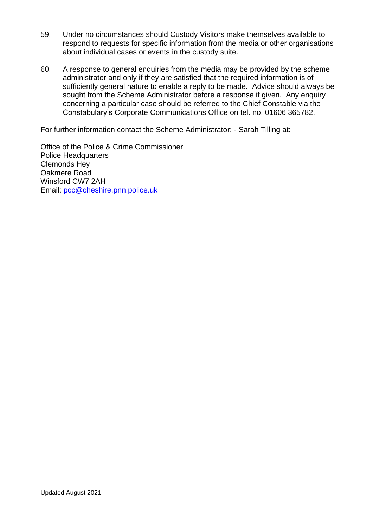- 59. Under no circumstances should Custody Visitors make themselves available to respond to requests for specific information from the media or other organisations about individual cases or events in the custody suite.
- 60. A response to general enquiries from the media may be provided by the scheme administrator and only if they are satisfied that the required information is of sufficiently general nature to enable a reply to be made. Advice should always be sought from the Scheme Administrator before a response if given. Any enquiry concerning a particular case should be referred to the Chief Constable via the Constabulary's Corporate Communications Office on tel. no. 01606 365782.

For further information contact the Scheme Administrator: - Sarah Tilling at:

Office of the Police & Crime Commissioner Police Headquarters Clemonds Hey Oakmere Road Winsford CW7 2AH Email: [pcc@cheshire.pnn.police.uk](mailto:pcc@cheshire.pnn.police.uk)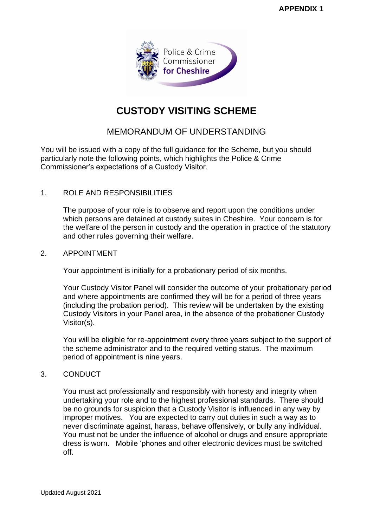

## **CUSTODY VISITING SCHEME**

### MEMORANDUM OF UNDERSTANDING

You will be issued with a copy of the full guidance for the Scheme, but you should particularly note the following points, which highlights the Police & Crime Commissioner's expectations of a Custody Visitor.

### 1. ROLE AND RESPONSIBILITIES

The purpose of your role is to observe and report upon the conditions under which persons are detained at custody suites in Cheshire. Your concern is for the welfare of the person in custody and the operation in practice of the statutory and other rules governing their welfare.

### 2. APPOINTMENT

Your appointment is initially for a probationary period of six months.

Your Custody Visitor Panel will consider the outcome of your probationary period and where appointments are confirmed they will be for a period of three years (including the probation period). This review will be undertaken by the existing Custody Visitors in your Panel area, in the absence of the probationer Custody Visitor(s).

You will be eligible for re-appointment every three years subject to the support of the scheme administrator and to the required vetting status. The maximum period of appointment is nine years.

### 3. CONDUCT

You must act professionally and responsibly with honesty and integrity when undertaking your role and to the highest professional standards. There should be no grounds for suspicion that a Custody Visitor is influenced in any way by improper motives. You are expected to carry out duties in such a way as to never discriminate against, harass, behave offensively, or bully any individual. You must not be under the influence of alcohol or drugs and ensure appropriate dress is worn. Mobile 'phones and other electronic devices must be switched off.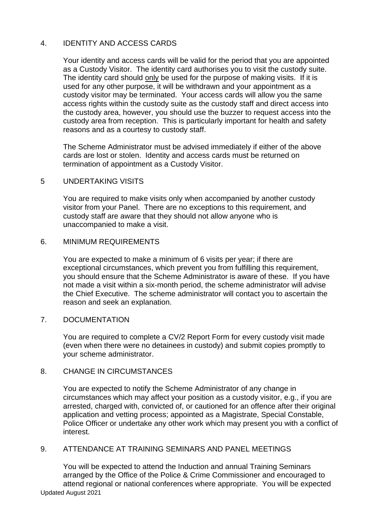### 4. IDENTITY AND ACCESS CARDS

Your identity and access cards will be valid for the period that you are appointed as a Custody Visitor. The identity card authorises you to visit the custody suite. The identity card should only be used for the purpose of making visits. If it is used for any other purpose, it will be withdrawn and your appointment as a custody visitor may be terminated. Your access cards will allow you the same access rights within the custody suite as the custody staff and direct access into the custody area, however, you should use the buzzer to request access into the custody area from reception. This is particularly important for health and safety reasons and as a courtesy to custody staff.

The Scheme Administrator must be advised immediately if either of the above cards are lost or stolen. Identity and access cards must be returned on termination of appointment as a Custody Visitor.

### 5 UNDERTAKING VISITS

You are required to make visits only when accompanied by another custody visitor from your Panel. There are no exceptions to this requirement, and custody staff are aware that they should not allow anyone who is unaccompanied to make a visit.

### 6. MINIMUM REQUIREMENTS

You are expected to make a minimum of 6 visits per year; if there are exceptional circumstances, which prevent you from fulfilling this requirement, you should ensure that the Scheme Administrator is aware of these. If you have not made a visit within a six-month period, the scheme administrator will advise the Chief Executive. The scheme administrator will contact you to ascertain the reason and seek an explanation.

### 7. DOCUMENTATION

You are required to complete a CV/2 Report Form for every custody visit made (even when there were no detainees in custody) and submit copies promptly to your scheme administrator.

#### 8. CHANGE IN CIRCUMSTANCES

You are expected to notify the Scheme Administrator of any change in circumstances which may affect your position as a custody visitor, e.g., if you are arrested, charged with, convicted of, or cautioned for an offence after their original application and vetting process; appointed as a Magistrate, Special Constable, Police Officer or undertake any other work which may present you with a conflict of interest.

### 9. ATTENDANCE AT TRAINING SEMINARS AND PANEL MEETINGS

Updated August 2021 You will be expected to attend the Induction and annual Training Seminars arranged by the Office of the Police & Crime Commissioner and encouraged to attend regional or national conferences where appropriate. You will be expected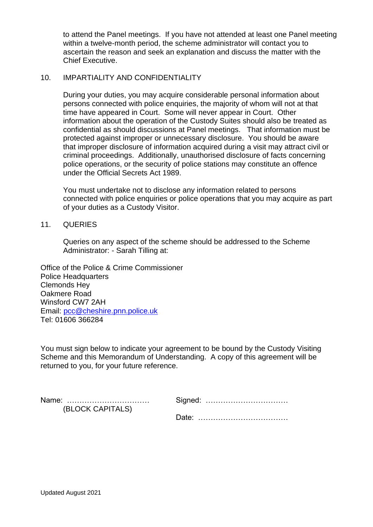to attend the Panel meetings. If you have not attended at least one Panel meeting within a twelve-month period, the scheme administrator will contact you to ascertain the reason and seek an explanation and discuss the matter with the Chief Executive.

### 10. IMPARTIALITY AND CONFIDENTIALITY

During your duties, you may acquire considerable personal information about persons connected with police enquiries, the majority of whom will not at that time have appeared in Court. Some will never appear in Court. Other information about the operation of the Custody Suites should also be treated as confidential as should discussions at Panel meetings. That information must be protected against improper or unnecessary disclosure. You should be aware that improper disclosure of information acquired during a visit may attract civil or criminal proceedings. Additionally, unauthorised disclosure of facts concerning police operations, or the security of police stations may constitute an offence under the Official Secrets Act 1989.

You must undertake not to disclose any information related to persons connected with police enquiries or police operations that you may acquire as part of your duties as a Custody Visitor.

### 11. QUERIES

Queries on any aspect of the scheme should be addressed to the Scheme Administrator: - Sarah Tilling at:

Office of the Police & Crime Commissioner Police Headquarters Clemonds Hey Oakmere Road Winsford CW7 2AH Email: [pcc@cheshire.pnn.police.uk](mailto:pcc@cheshire.pnn.police.uk) Tel: 01606 366284

You must sign below to indicate your agreement to be bound by the Custody Visiting Scheme and this Memorandum of Understanding. A copy of this agreement will be returned to you, for your future reference.

| Name:            | Signed: |
|------------------|---------|
| (BLOCK CAPITALS) |         |
|                  | ' )ate∴ |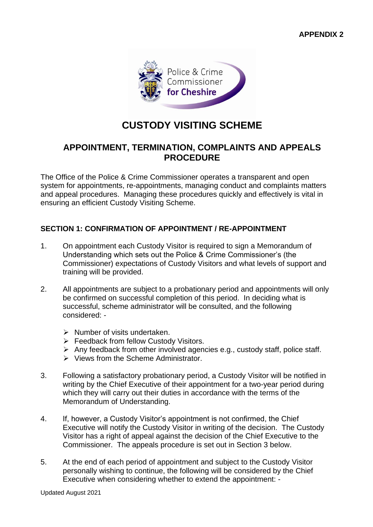

## **CUSTODY VISITING SCHEME**

### **APPOINTMENT, TERMINATION, COMPLAINTS AND APPEALS PROCEDURE**

The Office of the Police & Crime Commissioner operates a transparent and open system for appointments, re-appointments, managing conduct and complaints matters and appeal procedures. Managing these procedures quickly and effectively is vital in ensuring an efficient Custody Visiting Scheme.

### **SECTION 1: CONFIRMATION OF APPOINTMENT / RE-APPOINTMENT**

- 1. On appointment each Custody Visitor is required to sign a Memorandum of Understanding which sets out the Police & Crime Commissioner's (the Commissioner) expectations of Custody Visitors and what levels of support and training will be provided.
- 2. All appointments are subject to a probationary period and appointments will only be confirmed on successful completion of this period. In deciding what is successful, scheme administrator will be consulted, and the following considered: -
	- $\triangleright$  Number of visits undertaken.
	- ➢ Feedback from fellow Custody Visitors.
	- ➢ Any feedback from other involved agencies e.g., custody staff, police staff.
	- ➢ Views from the Scheme Administrator.
- 3. Following a satisfactory probationary period, a Custody Visitor will be notified in writing by the Chief Executive of their appointment for a two-year period during which they will carry out their duties in accordance with the terms of the Memorandum of Understanding.
- 4. If, however, a Custody Visitor's appointment is not confirmed, the Chief Executive will notify the Custody Visitor in writing of the decision. The Custody Visitor has a right of appeal against the decision of the Chief Executive to the Commissioner. The appeals procedure is set out in Section 3 below.
- 5. At the end of each period of appointment and subject to the Custody Visitor personally wishing to continue, the following will be considered by the Chief Executive when considering whether to extend the appointment: -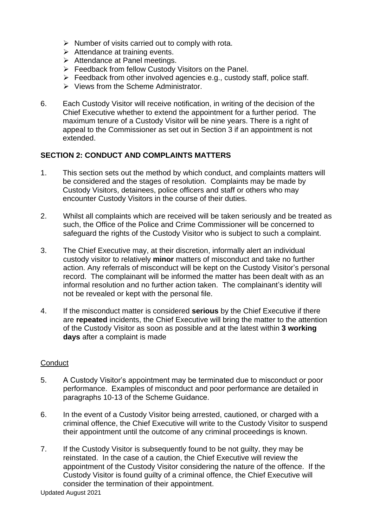- $\triangleright$  Number of visits carried out to comply with rota.
- $\triangleright$  Attendance at training events.
- ➢ Attendance at Panel meetings.
- ➢ Feedback from fellow Custody Visitors on the Panel.
- $\triangleright$  Feedback from other involved agencies e.g., custody staff, police staff.
- ➢ Views from the Scheme Administrator.
- 6. Each Custody Visitor will receive notification, in writing of the decision of the Chief Executive whether to extend the appointment for a further period. The maximum tenure of a Custody Visitor will be nine years. There is a right of appeal to the Commissioner as set out in Section 3 if an appointment is not extended.

### **SECTION 2: CONDUCT AND COMPLAINTS MATTERS**

- 1. This section sets out the method by which conduct, and complaints matters will be considered and the stages of resolution. Complaints may be made by Custody Visitors, detainees, police officers and staff or others who may encounter Custody Visitors in the course of their duties.
- 2. Whilst all complaints which are received will be taken seriously and be treated as such, the Office of the Police and Crime Commissioner will be concerned to safeguard the rights of the Custody Visitor who is subject to such a complaint.
- 3. The Chief Executive may, at their discretion, informally alert an individual custody visitor to relatively **minor** matters of misconduct and take no further action. Any referrals of misconduct will be kept on the Custody Visitor's personal record. The complainant will be informed the matter has been dealt with as an informal resolution and no further action taken. The complainant's identity will not be revealed or kept with the personal file.
- 4. If the misconduct matter is considered **serious** by the Chief Executive if there are **repeated** incidents, the Chief Executive will bring the matter to the attention of the Custody Visitor as soon as possible and at the latest within **3 working days** after a complaint is made

### **Conduct**

- 5. A Custody Visitor's appointment may be terminated due to misconduct or poor performance. Examples of misconduct and poor performance are detailed in paragraphs 10-13 of the Scheme Guidance.
- 6. In the event of a Custody Visitor being arrested, cautioned, or charged with a criminal offence, the Chief Executive will write to the Custody Visitor to suspend their appointment until the outcome of any criminal proceedings is known.
- 7. If the Custody Visitor is subsequently found to be not guilty, they may be reinstated. In the case of a caution, the Chief Executive will review the appointment of the Custody Visitor considering the nature of the offence. If the Custody Visitor is found guilty of a criminal offence, the Chief Executive will consider the termination of their appointment.

Updated August 2021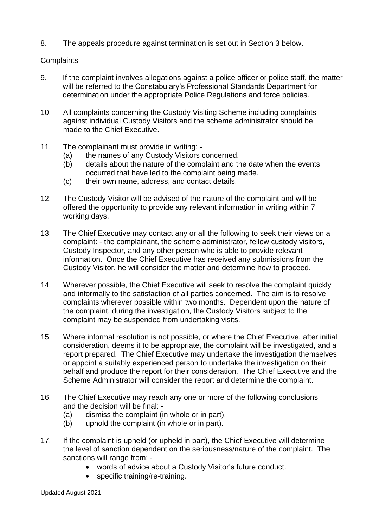8. The appeals procedure against termination is set out in Section 3 below.

### **Complaints**

- 9. If the complaint involves allegations against a police officer or police staff, the matter will be referred to the Constabulary's Professional Standards Department for determination under the appropriate Police Regulations and force policies.
- 10. All complaints concerning the Custody Visiting Scheme including complaints against individual Custody Visitors and the scheme administrator should be made to the Chief Executive.
- 11. The complainant must provide in writing:
	- (a) the names of any Custody Visitors concerned.
	- (b) details about the nature of the complaint and the date when the events occurred that have led to the complaint being made.
	- (c) their own name, address, and contact details.
- 12. The Custody Visitor will be advised of the nature of the complaint and will be offered the opportunity to provide any relevant information in writing within 7 working days.
- 13. The Chief Executive may contact any or all the following to seek their views on a complaint: - the complainant, the scheme administrator, fellow custody visitors, Custody Inspector, and any other person who is able to provide relevant information. Once the Chief Executive has received any submissions from the Custody Visitor, he will consider the matter and determine how to proceed.
- 14. Wherever possible, the Chief Executive will seek to resolve the complaint quickly and informally to the satisfaction of all parties concerned.The aim is to resolve complaints wherever possible within two months. Dependent upon the nature of the complaint, during the investigation, the Custody Visitors subject to the complaint may be suspended from undertaking visits.
- 15. Where informal resolution is not possible, or where the Chief Executive, after initial consideration, deems it to be appropriate, the complaint will be investigated, and a report prepared. The Chief Executive may undertake the investigation themselves or appoint a suitably experienced person to undertake the investigation on their behalf and produce the report for their consideration. The Chief Executive and the Scheme Administrator will consider the report and determine the complaint.
- 16. The Chief Executive may reach any one or more of the following conclusions and the decision will be final: -
	- (a) dismiss the complaint (in whole or in part).
	- (b) uphold the complaint (in whole or in part).
- 17. If the complaint is upheld (or upheld in part), the Chief Executive will determine the level of sanction dependent on the seriousness/nature of the complaint. The sanctions will range from: -
	- words of advice about a Custody Visitor's future conduct.
	- specific training/re-training.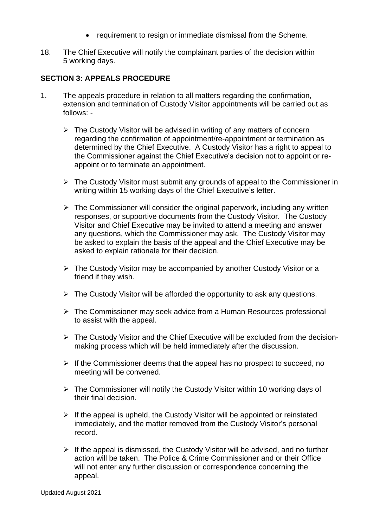- requirement to resign or immediate dismissal from the Scheme.
- 18. The Chief Executive will notify the complainant parties of the decision within 5 working days.

### **SECTION 3: APPEALS PROCEDURE**

- 1. The appeals procedure in relation to all matters regarding the confirmation, extension and termination of Custody Visitor appointments will be carried out as follows: -
	- ➢ The Custody Visitor will be advised in writing of any matters of concern regarding the confirmation of appointment/re-appointment or termination as determined by the Chief Executive. A Custody Visitor has a right to appeal to the Commissioner against the Chief Executive's decision not to appoint or reappoint or to terminate an appointment.
	- ➢ The Custody Visitor must submit any grounds of appeal to the Commissioner in writing within 15 working days of the Chief Executive's letter.
	- $\triangleright$  The Commissioner will consider the original paperwork, including any written responses, or supportive documents from the Custody Visitor. The Custody Visitor and Chief Executive may be invited to attend a meeting and answer any questions, which the Commissioner may ask. The Custody Visitor may be asked to explain the basis of the appeal and the Chief Executive may be asked to explain rationale for their decision.
	- ➢ The Custody Visitor may be accompanied by another Custody Visitor or a friend if they wish.
	- $\triangleright$  The Custody Visitor will be afforded the opportunity to ask any questions.
	- ➢ The Commissioner may seek advice from a Human Resources professional to assist with the appeal.
	- ➢ The Custody Visitor and the Chief Executive will be excluded from the decisionmaking process which will be held immediately after the discussion.
	- $\triangleright$  If the Commissioner deems that the appeal has no prospect to succeed, no meeting will be convened.
	- ➢ The Commissioner will notify the Custody Visitor within 10 working days of their final decision.
	- $\triangleright$  If the appeal is upheld, the Custody Visitor will be appointed or reinstated immediately, and the matter removed from the Custody Visitor's personal record.
	- ➢ If the appeal is dismissed, the Custody Visitor will be advised, and no further action will be taken. The Police & Crime Commissioner and or their Office will not enter any further discussion or correspondence concerning the appeal.